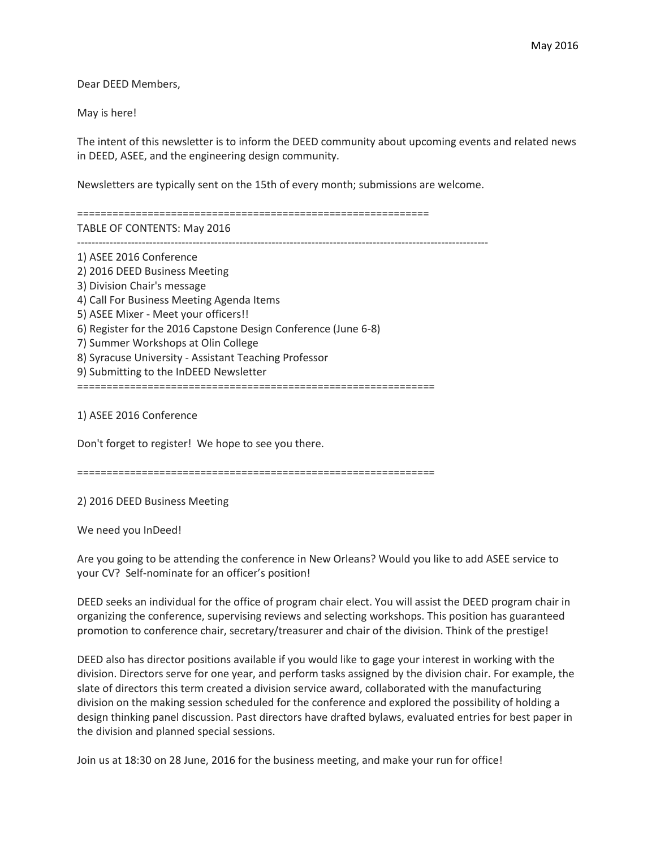Dear DEED Members,

May is here!

The intent of this newsletter is to inform the DEED community about upcoming events and related news in DEED, ASEE, and the engineering design community.

Newsletters are typically sent on the 15th of every month; submissions are welcome.

============================================================ TABLE OF CONTENTS: May 2016

------------------------------------------------------------------------------------------------------------------

1) ASEE 2016 Conference 2) 2016 DEED Business Meeting 3) Division Chair's message 4) Call For Business Meeting Agenda Items 5) ASEE Mixer - Meet your officers!! 6) Register for the 2016 Capstone Design Conference (June 6-8) 7) Summer Workshops at Olin College 8) Syracuse University - Assistant Teaching Professor 9) Submitting to the InDEED Newsletter =============================================================

1) ASEE 2016 Conference

Don't forget to register! We hope to see you there.

=============================================================

2) 2016 DEED Business Meeting

We need you InDeed!

Are you going to be attending the conference in New Orleans? Would you like to add ASEE service to your CV? Self-nominate for an officer's position!

DEED seeks an individual for the office of program chair elect. You will assist the DEED program chair in organizing the conference, supervising reviews and selecting workshops. This position has guaranteed promotion to conference chair, secretary/treasurer and chair of the division. Think of the prestige!

DEED also has director positions available if you would like to gage your interest in working with the division. Directors serve for one year, and perform tasks assigned by the division chair. For example, the slate of directors this term created a division service award, collaborated with the manufacturing division on the making session scheduled for the conference and explored the possibility of holding a design thinking panel discussion. Past directors have drafted bylaws, evaluated entries for best paper in the division and planned special sessions.

Join us at 18:30 on 28 June, 2016 for the business meeting, and make your run for office!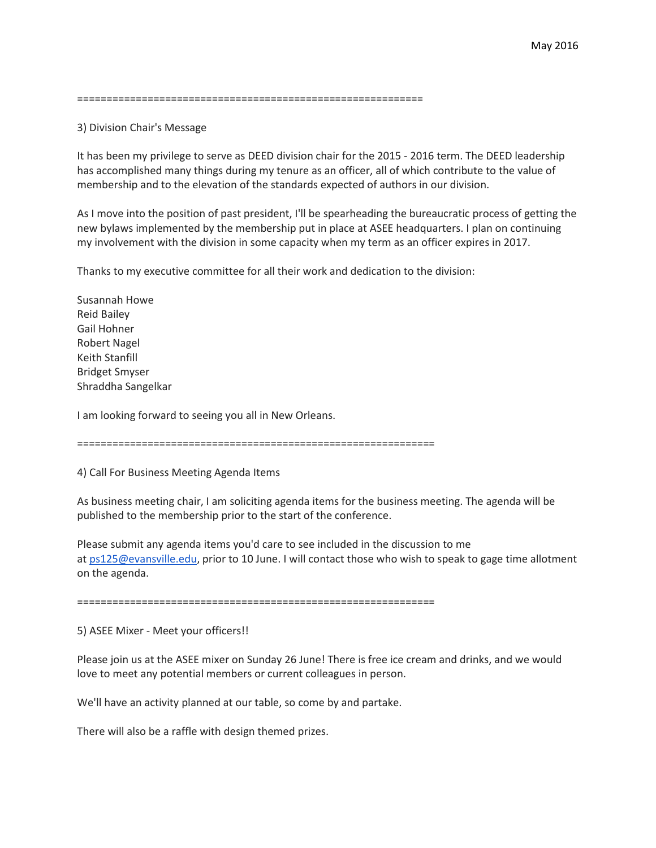===========================================================

## 3) Division Chair's Message

It has been my privilege to serve as DEED division chair for the 2015 - 2016 term. The DEED leadership has accomplished many things during my tenure as an officer, all of which contribute to the value of membership and to the elevation of the standards expected of authors in our division.

As I move into the position of past president, I'll be spearheading the bureaucratic process of getting the new bylaws implemented by the membership put in place at ASEE headquarters. I plan on continuing my involvement with the division in some capacity when my term as an officer expires in 2017.

Thanks to my executive committee for all their work and dedication to the division:

Susannah Howe Reid Bailey Gail Hohner Robert Nagel Keith Stanfill Bridget Smyser Shraddha Sangelkar

I am looking forward to seeing you all in New Orleans.

=============================================================

4) Call For Business Meeting Agenda Items

As business meeting chair, I am soliciting agenda items for the business meeting. The agenda will be published to the membership prior to the start of the conference.

Please submit any agenda items you'd care to see included in the discussion to me at [ps125@evansville.edu,](mailto:ps125@evansville.edu) prior to 10 June. I will contact those who wish to speak to gage time allotment on the agenda.

=============================================================

5) ASEE Mixer - Meet your officers!!

Please join us at the ASEE mixer on Sunday 26 June! There is free ice cream and drinks, and we would love to meet any potential members or current colleagues in person.

We'll have an activity planned at our table, so come by and partake.

There will also be a raffle with design themed prizes.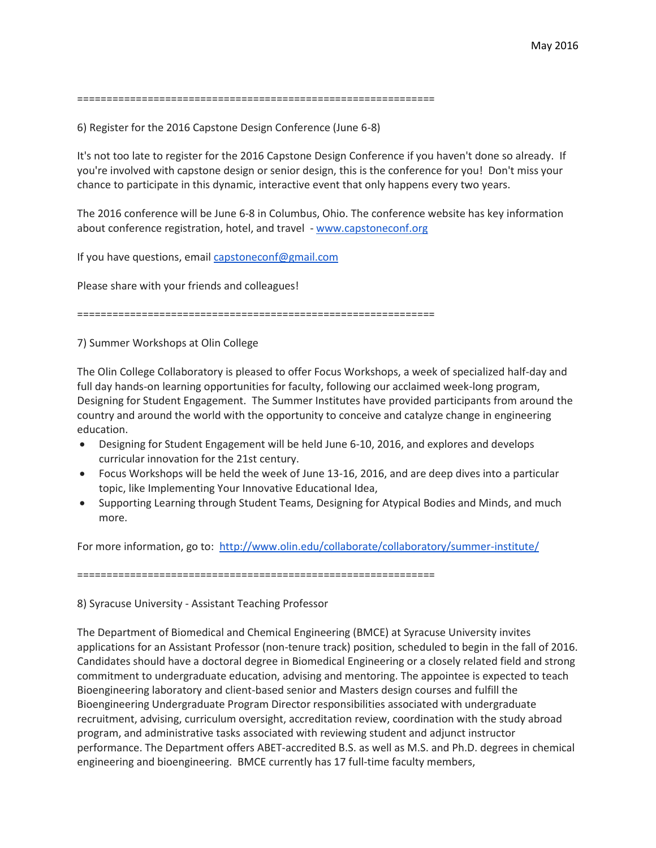=============================================================

6) Register for the 2016 Capstone Design Conference (June 6-8)

It's not too late to register for the 2016 Capstone Design Conference if you haven't done so already. If you're involved with capstone design or senior design, this is the conference for you! Don't miss your chance to participate in this dynamic, interactive event that only happens every two years.

The 2016 conference will be June 6-8 in Columbus, Ohio. The conference website has key information about conference registration, hotel, and travel - [www.capstoneconf.org](http://www.capstoneconf.org/)

If you have questions, email [capstoneconf@gmail.com](mailto:capstoneconf@gmail.com)

Please share with your friends and colleagues!

=============================================================

7) Summer Workshops at Olin College

The Olin College Collaboratory is pleased to offer Focus Workshops, a week of specialized half-day and full day hands-on learning opportunities for faculty, following our acclaimed week-long program, Designing for Student Engagement. The Summer Institutes have provided participants from around the country and around the world with the opportunity to conceive and catalyze change in engineering education.

- Designing for Student Engagement will be held June 6-10, 2016, and explores and develops curricular innovation for the 21st century.
- Focus Workshops will be held the week of June 13-16, 2016, and are deep dives into a particular topic, like Implementing Your Innovative Educational Idea,
- Supporting Learning through Student Teams, Designing for Atypical Bodies and Minds, and much more.

For more information, go to: <http://www.olin.edu/collaborate/collaboratory/summer-institute/>

=============================================================

## 8) Syracuse University - Assistant Teaching Professor

The Department of Biomedical and Chemical Engineering (BMCE) at Syracuse University invites applications for an Assistant Professor (non-tenure track) position, scheduled to begin in the fall of 2016. Candidates should have a doctoral degree in Biomedical Engineering or a closely related field and strong commitment to undergraduate education, advising and mentoring. The appointee is expected to teach Bioengineering laboratory and client-based senior and Masters design courses and fulfill the Bioengineering Undergraduate Program Director responsibilities associated with undergraduate recruitment, advising, curriculum oversight, accreditation review, coordination with the study abroad program, and administrative tasks associated with reviewing student and adjunct instructor performance. The Department offers ABET-accredited B.S. as well as M.S. and Ph.D. degrees in chemical engineering and bioengineering. BMCE currently has 17 full-time faculty members,